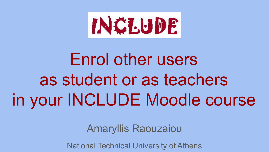

# Enrol other users as student or as teachers in your INCLUDE Moodle course

Amaryllis Raouzaiou

National Technical University of Athens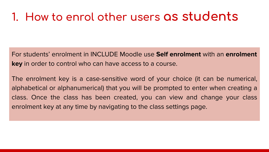#### **1. How to enrol other users as students**

For students' enrolment in INCLUDE Moodle use **Self enrolment** with an **enrolment key** in order to control who can have access to a course.

The enrolment key is a case-sensitive word of your choice (it can be numerical, alphabetical or alphanumerical) that you will be prompted to enter when creating a class. Once the class has been created, you can view and change your class enrolment key at any time by navigating to the class settings page.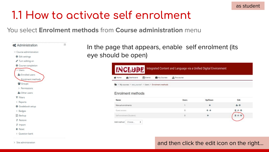$2 + 0$ 

 $000$ 

自必负

#### **1.1 How to activate self enrolment**

You select **Enrolment methods** from **Course administration** menu

Manual enrolments

Self enrolment (Student)

 $\div$ 

Add method Choose

Guest access



In the page that appears, enable self enrolment (its eye should be open)

| # Home | <b>9%</b> Dashboard                                     | <b>Em Events</b> | My Courses | A This course |  |
|--------|---------------------------------------------------------|------------------|------------|---------------|--|
|        |                                                         |                  |            |               |  |
|        | > My courses > test_course1 > Users > Enrolment methods |                  |            |               |  |
|        | Enrolment methods                                       |                  |            |               |  |

 $\alpha$ 

 $\mathbf{0}$ 

and then click the edit icon on the right...

+ +

۰

> Site administration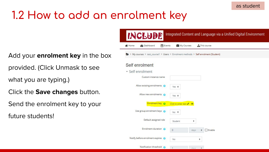# **1.2 How to add an enrolment key**

Add your **enrolment key** in the box

provided. (Click Unmask to see

what you are typing.)

- Click the **Save changes** button.
- Send the enrolment key to your

future students!

| <b>INCLUDE</b>                                                                     |                       | Integrated Content and Language via a Unified Digital Environment |  |
|------------------------------------------------------------------------------------|-----------------------|-------------------------------------------------------------------|--|
| Events<br><b>Dashboard</b><br>Home                                                 | My Courses            | <b>A</b> This course                                              |  |
| > My courses > test_course1 > Users > Enrolment methods > Self enrolment (Student) |                       |                                                                   |  |
| Self enrolment                                                                     |                       |                                                                   |  |
| Self enrolment                                                                     |                       |                                                                   |  |
| Custom instance name                                                               |                       |                                                                   |  |
| Allow existing enrolments                                                          | Yes $\triangleq$      |                                                                   |  |
| Allow new enrolments @                                                             | Yes $\Rightarrow$     |                                                                   |  |
| Enrolment key                                                                      | Click to enter text & |                                                                   |  |
| Use group enrolment keys @                                                         | No $\triangleq$       |                                                                   |  |
| Default assigned role                                                              | Student               | ۰                                                                 |  |
| Enrolment duration @                                                               | $\theta$              | Enable<br>days<br>٠                                               |  |
| Notify before enrolment expires                                                    | No.                   | ٠                                                                 |  |
| Notification threshold<br>ഒ                                                        | $\mathbf{A}$          | $-1 - 1$<br>$\overline{a}$                                        |  |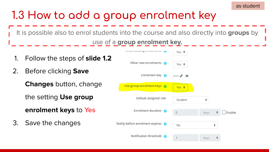It is possible also to enrol students into the course and also directly into **groups** by use of a **group enrolment key.**

- 1. Follow the steps of **slide 1.2**
- 2. Before clicking **Save**

**Changes** button, change

the setting **Use group** 

**enrolment keys** to **Yes**

3. Save the changes

| <b>I BUTT WARRING WITH MILLIMITED</b> | Yes $\div$                 |      |   |        |
|---------------------------------------|----------------------------|------|---|--------|
| Allow new enrolments                  | Yes $\div$                 |      |   |        |
| Enrolment key                         | $\cdots$<br>$\circledcirc$ |      |   |        |
| Use group enrolment keys @            | Yes $\div$                 |      |   |        |
| Default assigned role                 | Student                    | ÷    |   |        |
| Enrolment duration @                  | $\theta$                   | days | ÷ | Enable |
| Notify before enrolment expires @     | <b>No</b>                  |      | ÷ |        |
| Notification threshold<br>ഭ           | 1                          | days |   |        |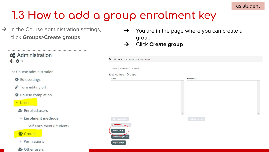$\rightarrow$  In the Course administration settings, click **Groups>Create groups**

| $\rightarrow$ You are in the page where you can create a |
|----------------------------------------------------------|
| group                                                    |

➔ Click **Create group**

| test_course1 Groups<br>Groups | Members of:      |  |
|-------------------------------|------------------|--|
|                               | $\lambda$        |  |
|                               |                  |  |
|                               |                  |  |
|                               |                  |  |
|                               |                  |  |
|                               |                  |  |
|                               | $\checkmark$     |  |
| Edit group settings           | Add/remove users |  |
|                               |                  |  |
|                               |                  |  |

#### **C** Administration

- $\times$  Course administration
	- **♦** Edit settings
	- Turn editing off
	- Course completion
	- v Users
	- & Enrolled users
	- $\times$  Enrolment methods

Self enrolment (Student)

**警 Groups** 

> Permissions

<sup>2</sup>+ Other users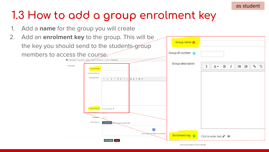1. Add a **name** for the group you will create

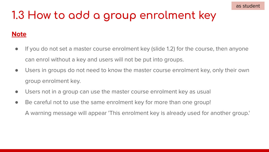#### **Note**

- If you do not set a master course enrolment key (slide 1.2) for the course, then anyone can enrol without a key and users will not be put into groups.
- Users in groups do not need to know the master course enrolment key, only their own group enrolment key.
- Users not in a group can use the master course enrolment key as usual
- Be careful not to use the same enrolment key for more than one group! A warning message will appear 'This enrolment key is already used for another group.'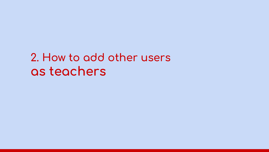### **2. How to add other users as teachers**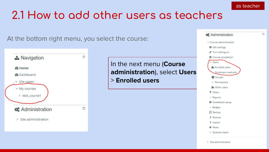#### **2.1 How to add other users as teachers**

At the bottom right menu, you select the course:



In the next menu (**Course administration**), select **Users**  > **Enrolled users**